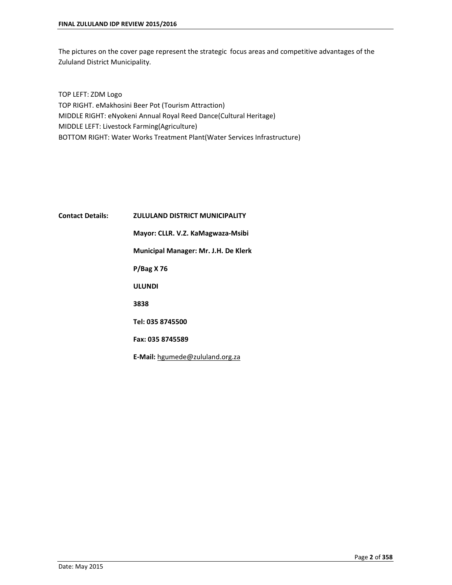The pictures on the cover page represent the strategic focus areas and competitive advantages of the Zululand District Municipality.

TOP LEFT: ZDM Logo TOP RIGHT. eMakhosini Beer Pot (Tourism Attraction) MIDDLE RIGHT: eNyokeni Annual Royal Reed Dance(Cultural Heritage) MIDDLE LEFT: Livestock Farming(Agriculture) BOTTOM RIGHT: Water Works Treatment Plant(Water Services Infrastructure)

# **Contact Details: ZULULAND DISTRICT MUNICIPALITY Mayor: CLLR. V.Z. KaMagwaza-Msibi Municipal Manager: Mr. J.H. De Klerk P/Bag X 76 ULUNDI 3838 Tel: 035 8745500 Fax: 035 8745589 E-Mail:** [hgumede@zululand.org.za](mailto:hgumede@zululand.org.za)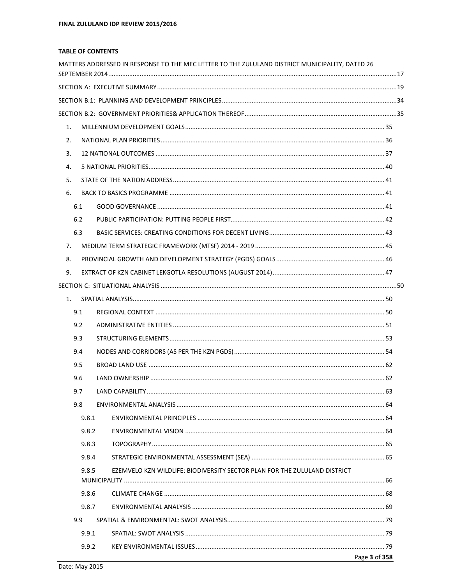#### **TABLE OF CONTENTS**

|                |              | MATTERS ADDRESSED IN RESPONSE TO THE MEC LETTER TO THE ZULULAND DISTRICT MUNICIPALITY, DATED 26 |               |
|----------------|--------------|-------------------------------------------------------------------------------------------------|---------------|
|                |              |                                                                                                 |               |
|                |              |                                                                                                 |               |
|                |              |                                                                                                 |               |
| 1.             |              |                                                                                                 |               |
| 2.             |              |                                                                                                 |               |
| 3.             |              |                                                                                                 |               |
| 4.             |              |                                                                                                 |               |
| 5.             |              |                                                                                                 |               |
| 6.             |              |                                                                                                 |               |
|                | 6.1          |                                                                                                 |               |
|                | 6.2          |                                                                                                 |               |
|                | 6.3          |                                                                                                 |               |
| 7 <sub>1</sub> |              |                                                                                                 |               |
| 8.             |              |                                                                                                 |               |
| 9.             |              |                                                                                                 |               |
|                |              |                                                                                                 |               |
|                | 1.           |                                                                                                 |               |
|                | 9.1          |                                                                                                 |               |
|                | 9.2          |                                                                                                 |               |
|                | 9.3          |                                                                                                 |               |
|                | 9.4          |                                                                                                 |               |
|                | 9.5          |                                                                                                 |               |
|                | 9.6          |                                                                                                 |               |
|                | 97           | I AND CAPARILITY                                                                                | 63.           |
|                | 9.8          |                                                                                                 |               |
|                | 9.8.1        |                                                                                                 |               |
|                | 9.8.2        |                                                                                                 |               |
|                | 9.8.3        |                                                                                                 |               |
|                | 9.8.4        |                                                                                                 |               |
|                | 9.8.5        | EZEMVELO KZN WILDLIFE: BIODIVERSITY SECTOR PLAN FOR THE ZULULAND DISTRICT                       |               |
|                |              |                                                                                                 |               |
|                | 9.8.6        |                                                                                                 |               |
|                | 9.8.7<br>9.9 |                                                                                                 |               |
|                | 9.9.1        |                                                                                                 |               |
|                | 9.9.2        |                                                                                                 |               |
|                |              |                                                                                                 | Page 3 of 358 |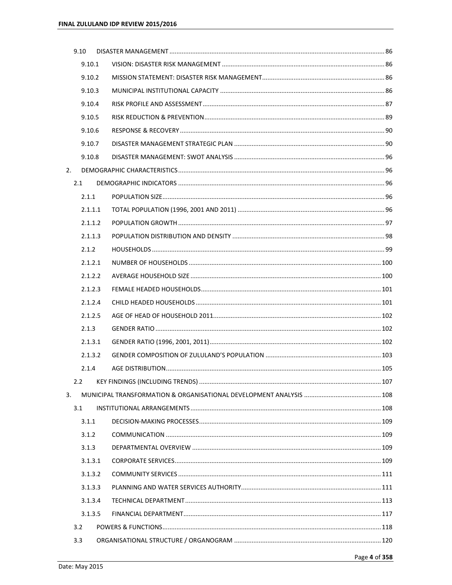|    | 9.10    |  |  |
|----|---------|--|--|
|    | 9.10.1  |  |  |
|    | 9.10.2  |  |  |
|    | 9.10.3  |  |  |
|    | 9.10.4  |  |  |
|    | 9.10.5  |  |  |
|    | 9.10.6  |  |  |
|    | 9.10.7  |  |  |
|    | 9.10.8  |  |  |
| 2. |         |  |  |
|    | 2.1     |  |  |
|    | 2.1.1   |  |  |
|    | 2.1.1.1 |  |  |
|    | 2.1.1.2 |  |  |
|    | 2.1.1.3 |  |  |
|    | 2.1.2   |  |  |
|    | 2.1.2.1 |  |  |
|    | 2.1.2.2 |  |  |
|    | 2.1.2.3 |  |  |
|    | 2.1.2.4 |  |  |
|    | 2.1.2.5 |  |  |
|    | 2.1.3   |  |  |
|    | 2.1.3.1 |  |  |
|    | 2.1.3.2 |  |  |
|    | 2.1.4   |  |  |
|    | 2.2     |  |  |
| 3. |         |  |  |
|    | 3.1     |  |  |
|    | 3.1.1   |  |  |
|    | 3.1.2   |  |  |
|    | 3.1.3   |  |  |
|    | 3.1.3.1 |  |  |
|    | 3.1.3.2 |  |  |
|    | 3.1.3.3 |  |  |
|    | 3.1.3.4 |  |  |
|    | 3.1.3.5 |  |  |
|    | 3.2     |  |  |
|    | 3.3     |  |  |
|    |         |  |  |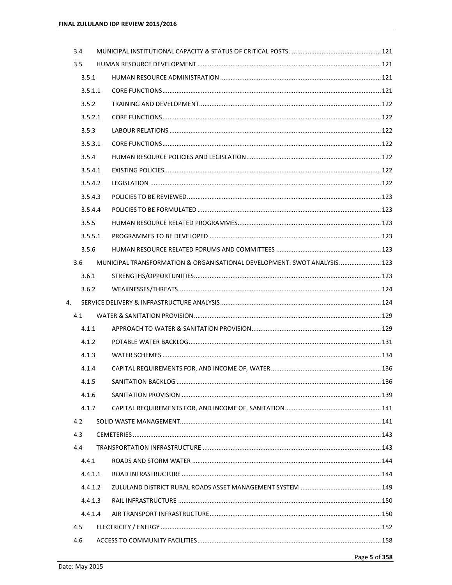| 3.4 |         |                                                                          |  |
|-----|---------|--------------------------------------------------------------------------|--|
| 3.5 |         |                                                                          |  |
|     | 3.5.1   |                                                                          |  |
|     | 3.5.1.1 |                                                                          |  |
|     | 3.5.2   |                                                                          |  |
|     | 3.5.2.1 |                                                                          |  |
|     | 3.5.3   |                                                                          |  |
|     | 3.5.3.1 |                                                                          |  |
|     | 3.5.4   |                                                                          |  |
|     | 3.5.4.1 |                                                                          |  |
|     | 3.5.4.2 |                                                                          |  |
|     | 3.5.4.3 |                                                                          |  |
|     | 3.5.4.4 |                                                                          |  |
|     | 3.5.5   |                                                                          |  |
|     | 3.5.5.1 |                                                                          |  |
|     | 3.5.6   |                                                                          |  |
| 3.6 |         | MUNICIPAL TRANSFORMATION & ORGANISATIONAL DEVELOPMENT: SWOT ANALYSIS 123 |  |
|     | 3.6.1   |                                                                          |  |
|     | 3.6.2   |                                                                          |  |
| 4.  |         |                                                                          |  |
| 4.1 |         |                                                                          |  |
|     | 4.1.1   |                                                                          |  |
|     | 4.1.2   |                                                                          |  |
|     | 4.1.3   |                                                                          |  |
|     | 4.1.4   |                                                                          |  |
|     | 4.1.5   |                                                                          |  |
|     | 4.1.6   |                                                                          |  |
|     | 4.1.7   |                                                                          |  |
| 4.2 |         |                                                                          |  |
| 4.3 |         |                                                                          |  |
| 4.4 |         |                                                                          |  |
|     | 4.4.1   |                                                                          |  |
|     | 4.4.1.1 |                                                                          |  |
|     | 4.4.1.2 |                                                                          |  |
|     | 4.4.1.3 |                                                                          |  |
|     | 4.4.1.4 |                                                                          |  |
| 4.5 |         |                                                                          |  |
| 4.6 |         |                                                                          |  |
|     |         |                                                                          |  |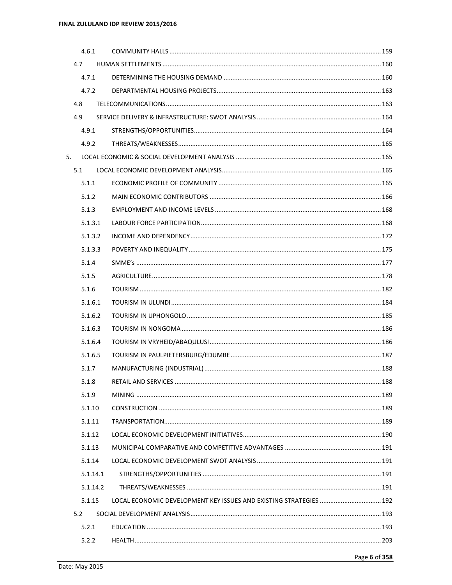|    |     | 4.6.1    |  |
|----|-----|----------|--|
|    | 4.7 |          |  |
|    |     | 4.7.1    |  |
|    |     | 4.7.2    |  |
|    | 4.8 |          |  |
|    | 4.9 |          |  |
|    |     | 4.9.1    |  |
|    |     | 4.9.2    |  |
| 5. |     |          |  |
|    | 5.1 |          |  |
|    |     | 5.1.1    |  |
|    |     | 5.1.2    |  |
|    |     | 5.1.3    |  |
|    |     | 5.1.3.1  |  |
|    |     | 5.1.3.2  |  |
|    |     | 5.1.3.3  |  |
|    |     | 5.1.4    |  |
|    |     | 5.1.5    |  |
|    |     | 5.1.6    |  |
|    |     | 5.1.6.1  |  |
|    |     | 5.1.6.2  |  |
|    |     | 5.1.6.3  |  |
|    |     | 5.1.6.4  |  |
|    |     | 5.1.6.5  |  |
|    |     | 5.1.7    |  |
|    |     | 5.1.8    |  |
|    |     | 5.1.9    |  |
|    |     | 5.1.10   |  |
|    |     | 5.1.11   |  |
|    |     | 5.1.12   |  |
|    |     | 5.1.13   |  |
|    |     | 5.1.14   |  |
|    |     | 5.1.14.1 |  |
|    |     | 5.1.14.2 |  |
|    |     | 5.1.15   |  |
|    | 5.2 |          |  |
|    |     | 5.2.1    |  |
|    |     | 5.2.2    |  |
|    |     |          |  |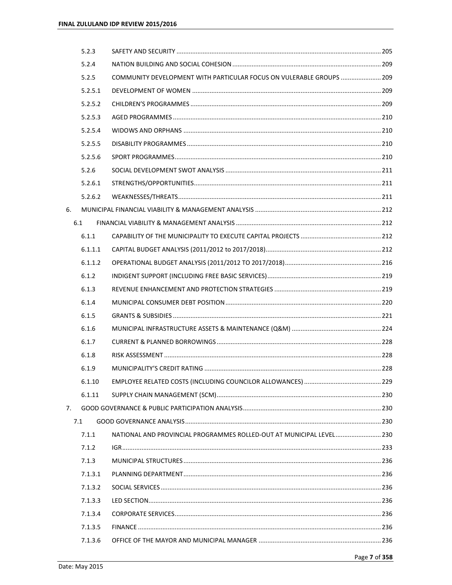|    | 5.2.3   |                                                                      |  |
|----|---------|----------------------------------------------------------------------|--|
|    | 5.2.4   |                                                                      |  |
|    | 5.2.5   | COMMUNITY DEVELOPMENT WITH PARTICULAR FOCUS ON VULERABLE GROUPS  209 |  |
|    | 5.2.5.1 |                                                                      |  |
|    | 5.2.5.2 |                                                                      |  |
|    | 5.2.5.3 |                                                                      |  |
|    | 5.2.5.4 |                                                                      |  |
|    | 5.2.5.5 |                                                                      |  |
|    | 5.2.5.6 |                                                                      |  |
|    | 5.2.6   |                                                                      |  |
|    | 5.2.6.1 |                                                                      |  |
|    | 5.2.6.2 |                                                                      |  |
| 6. |         |                                                                      |  |
|    | 6.1     |                                                                      |  |
|    | 6.1.1   |                                                                      |  |
|    | 6.1.1.1 |                                                                      |  |
|    | 6.1.1.2 |                                                                      |  |
|    | 6.1.2   |                                                                      |  |
|    | 6.1.3   |                                                                      |  |
|    | 6.1.4   |                                                                      |  |
|    | 6.1.5   |                                                                      |  |
|    | 6.1.6   |                                                                      |  |
|    | 6.1.7   |                                                                      |  |
|    | 6.1.8   |                                                                      |  |
|    | 6.1.9   |                                                                      |  |
|    | 6.1.10  |                                                                      |  |
|    | 6.1.11  |                                                                      |  |
| 7. |         |                                                                      |  |
|    | 7.1     |                                                                      |  |
|    | 7.1.1   | NATIONAL AND PROVINCIAL PROGRAMMES ROLLED-OUT AT MUNICIPAL LEVEL 230 |  |
|    | 7.1.2   |                                                                      |  |
|    | 7.1.3   |                                                                      |  |
|    | 7.1.3.1 |                                                                      |  |
|    | 7.1.3.2 |                                                                      |  |
|    | 7.1.3.3 |                                                                      |  |
|    | 7.1.3.4 |                                                                      |  |
|    | 7.1.3.5 |                                                                      |  |
|    | 7.1.3.6 |                                                                      |  |
|    |         |                                                                      |  |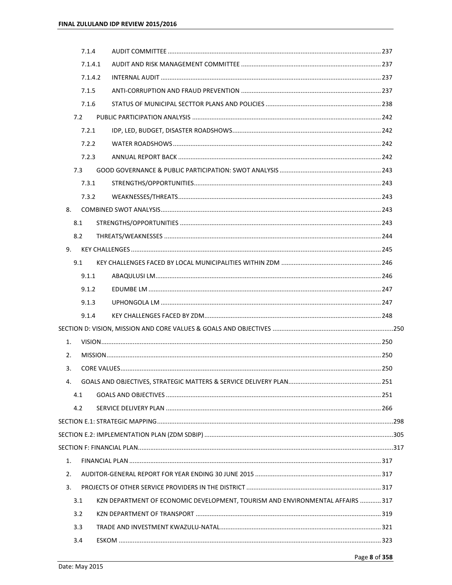|    | 7.1.4   |                                                                                |  |
|----|---------|--------------------------------------------------------------------------------|--|
|    | 7.1.4.1 |                                                                                |  |
|    | 7.1.4.2 |                                                                                |  |
|    | 7.1.5   |                                                                                |  |
|    | 7.1.6   |                                                                                |  |
|    | 7.2     |                                                                                |  |
|    | 7.2.1   |                                                                                |  |
|    | 7.2.2   |                                                                                |  |
|    | 7.2.3   |                                                                                |  |
|    | 7.3     |                                                                                |  |
|    | 7.3.1   |                                                                                |  |
|    | 7.3.2   |                                                                                |  |
| 8. |         |                                                                                |  |
|    | 8.1     |                                                                                |  |
|    | 8.2     |                                                                                |  |
| 9. |         |                                                                                |  |
|    | 9.1     |                                                                                |  |
|    | 9.1.1   |                                                                                |  |
|    | 9.1.2   |                                                                                |  |
|    | 9.1.3   |                                                                                |  |
|    | 9.1.4   |                                                                                |  |
|    |         |                                                                                |  |
| 1. |         |                                                                                |  |
| 2. |         |                                                                                |  |
| 3. |         |                                                                                |  |
| 4. |         |                                                                                |  |
|    | 4.1     |                                                                                |  |
|    | 4.2     |                                                                                |  |
|    |         |                                                                                |  |
|    |         |                                                                                |  |
|    |         |                                                                                |  |
| 1. |         |                                                                                |  |
| 2. |         |                                                                                |  |
| 3. |         |                                                                                |  |
|    | 3.1     | KZN DEPARTMENT OF ECONOMIC DEVELOPMENT, TOURISM AND ENVIRONMENTAL AFFAIRS  317 |  |
|    | 3.2     |                                                                                |  |
|    | 3.3     |                                                                                |  |
|    | 3.4     |                                                                                |  |
|    |         |                                                                                |  |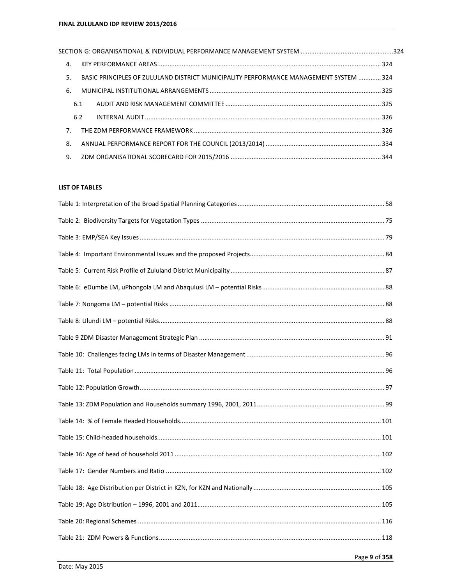| $\mathbf{4}$ . |                                                                                       |  |
|----------------|---------------------------------------------------------------------------------------|--|
| 5.             | BASIC PRINCIPLES OF ZULULAND DISTRICT MUNICIPALITY PERFORMANCE MANAGEMENT SYSTEM  324 |  |
| 6.             |                                                                                       |  |
| 6.1            |                                                                                       |  |
| 6.2            |                                                                                       |  |
| 7 <sup>1</sup> |                                                                                       |  |
| 8.             |                                                                                       |  |
| 9.             |                                                                                       |  |

# **LIST OF TABLES**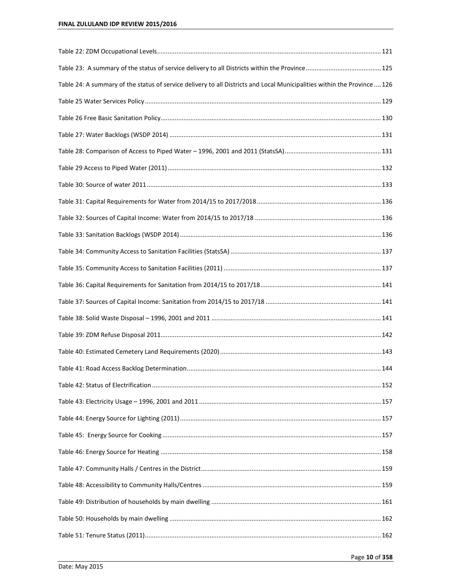| Table 24: A summary of the status of service delivery to all Districts and Local Municipalities within the Province  126 |  |
|--------------------------------------------------------------------------------------------------------------------------|--|
|                                                                                                                          |  |
|                                                                                                                          |  |
|                                                                                                                          |  |
|                                                                                                                          |  |
|                                                                                                                          |  |
|                                                                                                                          |  |
|                                                                                                                          |  |
|                                                                                                                          |  |
|                                                                                                                          |  |
|                                                                                                                          |  |
|                                                                                                                          |  |
|                                                                                                                          |  |
|                                                                                                                          |  |
|                                                                                                                          |  |
|                                                                                                                          |  |
|                                                                                                                          |  |
|                                                                                                                          |  |
|                                                                                                                          |  |
|                                                                                                                          |  |
|                                                                                                                          |  |
|                                                                                                                          |  |
|                                                                                                                          |  |
|                                                                                                                          |  |
|                                                                                                                          |  |
|                                                                                                                          |  |
|                                                                                                                          |  |
|                                                                                                                          |  |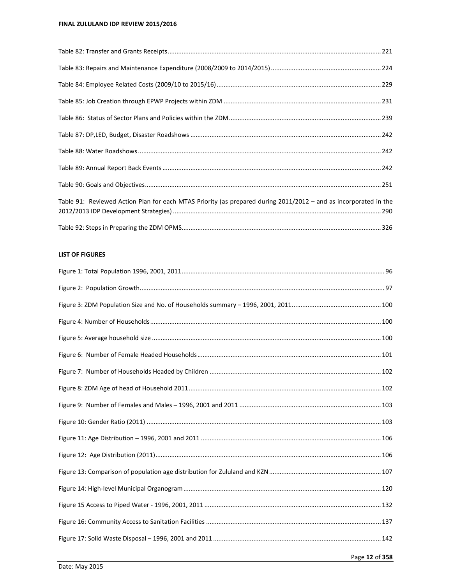| Table 91: Reviewed Action Plan for each MTAS Priority (as prepared during 2011/2012 - and as incorporated in the |  |
|------------------------------------------------------------------------------------------------------------------|--|
|                                                                                                                  |  |
|                                                                                                                  |  |

# **LIST OF FIGURES**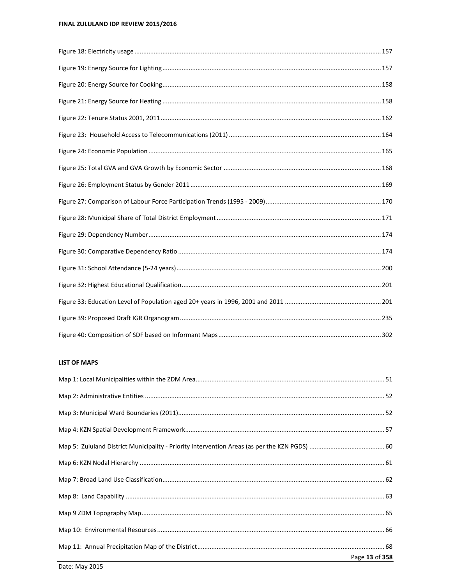## **LIST OF MAPS**

| Page 13 of 358 |
|----------------|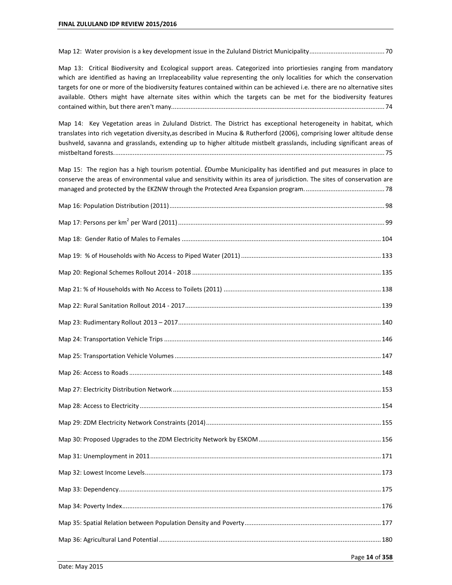Map 12: Water provision is a key development issue in the Zululand District Municipality ........................................... 70

Map 13: Critical Biodiversity and Ecological support areas. Categorized into priortiesies ranging from mandatory which are identified as having an Irreplaceability value representing the only localities for which the conservation targets for one or more of the biodiversity features contained within can be achieved i.e. there are no alternative sites available. Others might have alternate sites within which the targets can be met for the biodiversity features contained within, but there aren't many.......................................................................................................................... 74

Map 14: Key Vegetation areas in Zululand District. The District has exceptional heterogeneity in habitat, which translates into rich vegetation diversity,as described in Mucina & Rutherford (2006), comprising lower altitude dense bushveld, savanna and grasslands, extending up to higher altitude mistbelt grasslands, including significant areas of mistbeltand forests. .......................................................................................................................................................... 75

Map 15: The region has a high tourism potential. ÉDumbe Municipality has identified and put measures in place to conserve the areas of environmental value and sensitivity within its area of jurisdiction. The sites of conservation are managed and protected by the EKZNW through the Protected Area Expansion program. ............................................. 78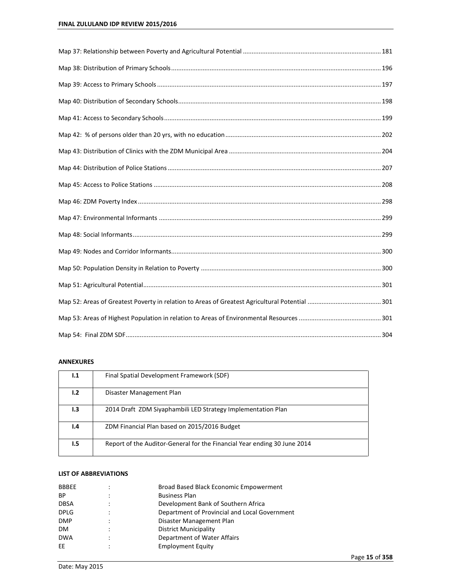## **ANNEXURES**

| 1.1 | Final Spatial Development Framework (SDF)                                |
|-----|--------------------------------------------------------------------------|
| 1.2 | Disaster Management Plan                                                 |
| 1.3 | 2014 Draft ZDM Siyaphambili LED Strategy Implementation Plan             |
| ۱.4 | ZDM Financial Plan based on 2015/2016 Budget                             |
| 1.5 | Report of the Auditor-General for the Financial Year ending 30 June 2014 |

#### **LIST OF ABBREVIATIONS**

| <b>BBBEE</b> | Broad Based Black Economic Empowerment        |
|--------------|-----------------------------------------------|
| <b>BP</b>    | <b>Business Plan</b>                          |
| <b>DBSA</b>  | Development Bank of Southern Africa           |
| <b>DPLG</b>  | Department of Provincial and Local Government |
| <b>DMP</b>   | Disaster Management Plan                      |
| DM.          | <b>District Municipality</b>                  |
| <b>DWA</b>   | Department of Water Affairs                   |
| EE           | <b>Employment Equity</b>                      |
|              |                                               |